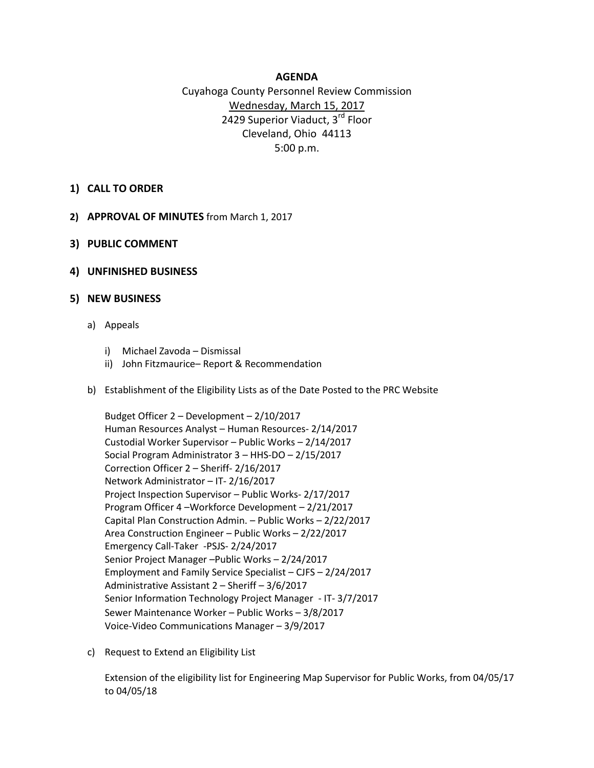## **AGENDA**

## Cuyahoga County Personnel Review Commission Wednesday, March 15, 2017 2429 Superior Viaduct, 3<sup>rd</sup> Floor Cleveland, Ohio 44113 5:00 p.m.

- **1) CALL TO ORDER**
- **2) APPROVAL OF MINUTES** from March 1, 2017
- **3) PUBLIC COMMENT**
- **4) UNFINISHED BUSINESS**

## **5) NEW BUSINESS**

- a) Appeals
	- i) Michael Zavoda Dismissal
	- ii) John Fitzmaurice– Report & Recommendation
- b) Establishment of the Eligibility Lists as of the Date Posted to the PRC Website

Budget Officer 2 – Development – 2/10/2017 Human Resources Analyst – Human Resources- 2/14/2017 Custodial Worker Supervisor – Public Works – 2/14/2017 Social Program Administrator 3 – HHS-DO – 2/15/2017 Correction Officer 2 – Sheriff- 2/16/2017 Network Administrator – IT- 2/16/2017 Project Inspection Supervisor – Public Works- 2/17/2017 Program Officer 4 –Workforce Development – 2/21/2017 Capital Plan Construction Admin. – Public Works – 2/22/2017 Area Construction Engineer – Public Works – 2/22/2017 Emergency Call-Taker -PSJS- 2/24/2017 Senior Project Manager –Public Works – 2/24/2017 Employment and Family Service Specialist – CJFS – 2/24/2017 Administrative Assistant 2 – Sheriff – 3/6/2017 Senior Information Technology Project Manager - IT- 3/7/2017 Sewer Maintenance Worker – Public Works – 3/8/2017 Voice-Video Communications Manager – 3/9/2017

c) Request to Extend an Eligibility List

Extension of the eligibility list for Engineering Map Supervisor for Public Works, from 04/05/17 to 04/05/18